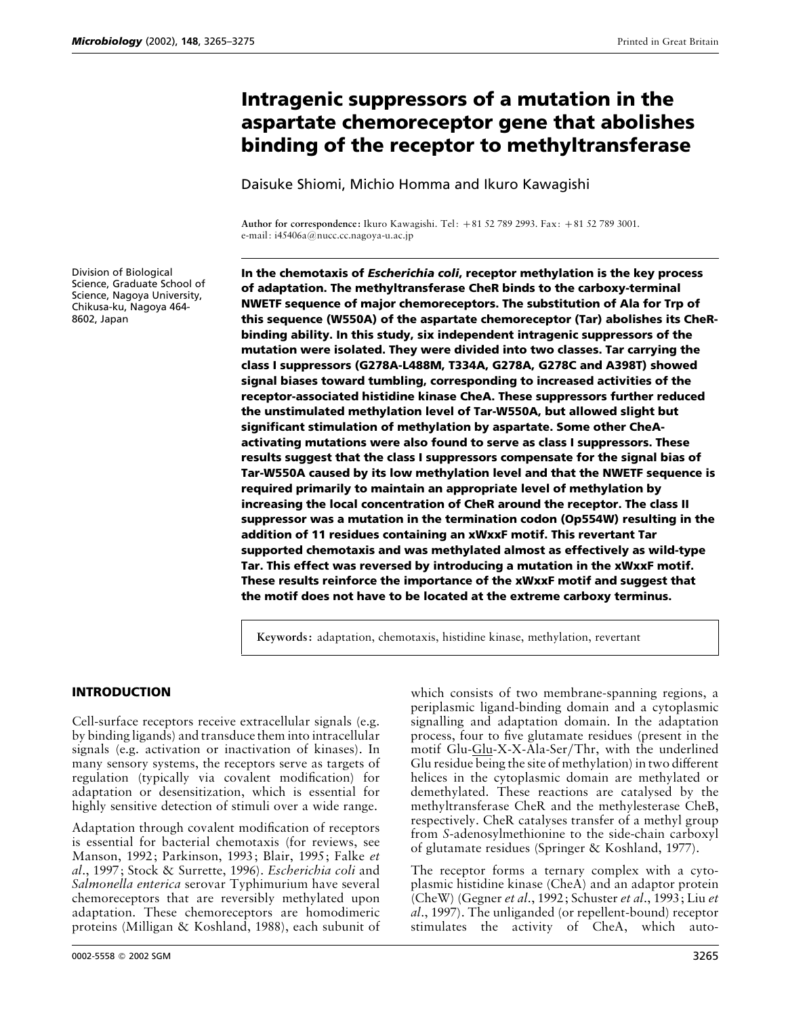# **Intragenic suppressors of a mutation in the aspartate chemoreceptor gene that abolishes binding of the receptor to methyltransferase**

Daisuke Shiomi, Michio Homma and Ikuro Kawagishi

**Author for correspondence:** Ikuro Kawagishi. Tel: +81 52 789 2993. Fax: +81 52 789 3001. e-mail: i45406a@nucc.cc.nagoya-u.ac.jp

Division of Biological Science, Graduate School of Science, Nagoya University, Chikusa-ku, Nagoya 464- 8602, Japan

**In the chemotaxis of** *Escherichia coli***, receptor methylation is the key process of adaptation. The methyltransferase CheR binds to the carboxy-terminal NWETF sequence of major chemoreceptors. The substitution of Ala for Trp of this sequence (W550A) of the aspartate chemoreceptor (Tar) abolishes its CheRbinding ability. In this study, six independent intragenic suppressors of the mutation were isolated. They were divided into two classes. Tar carrying the class I suppressors (G278A-L488M, T334A, G278A, G278C and A398T) showed signal biases toward tumbling, corresponding to increased activities of the receptor-associated histidine kinase CheA. These suppressors further reduced the unstimulated methylation level of Tar-W550A, but allowed slight but significant stimulation of methylation by aspartate. Some other CheAactivating mutations were also found to serve as class I suppressors. These results suggest that the class I suppressors compensate for the signal bias of Tar-W550A caused by its low methylation level and that the NWETF sequence is required primarily to maintain an appropriate level of methylation by increasing the local concentration of CheR around the receptor. The class II suppressor was a mutation in the termination codon (Op554W) resulting in the addition of 11 residues containing an xWxxF motif. This revertant Tar supported chemotaxis and was methylated almost as effectively as wild-type Tar. This effect was reversed by introducing a mutation in the xWxxF motif. These results reinforce the importance of the xWxxF motif and suggest that the motif does not have to be located at the extreme carboxy terminus.**

**Keywords:** adaptation, chemotaxis, histidine kinase, methylation, revertant

## **INTRODUCTION**

Cell-surface receptors receive extracellular signals (e.g. by binding ligands) and transduce them into intracellular signals (e.g. activation or inactivation of kinases). In many sensory systems, the receptors serve as targets of regulation (typically via covalent modification) for adaptation or desensitization, which is essential for highly sensitive detection of stimuli over a wide range.

Adaptation through covalent modification of receptors is essential for bacterial chemotaxis (for reviews, see Manson, 1992; Parkinson, 1993; Blair, 1995; Falke *et al*., 1997; Stock & Surrette, 1996). *Escherichia coli* and *Salmonella enterica* serovar Typhimurium have several chemoreceptors that are reversibly methylated upon adaptation. These chemoreceptors are homodimeric proteins (Milligan & Koshland, 1988), each subunit of

0002-5558 © 2002 SGM 3265

which consists of two membrane-spanning regions, a periplasmic ligand-binding domain and a cytoplasmic signalling and adaptation domain. In the adaptation process, four to five glutamate residues (present in the motif Glu-Glu-X-X-Ala-Ser/Thr, with the underlined Glu residue being the site of methylation) in two different helices in the cytoplasmic domain are methylated or demethylated. These reactions are catalysed by the methyltransferase CheR and the methylesterase CheB, respectively. CheR catalyses transfer of a methyl group from *S*-adenosylmethionine to the side-chain carboxyl of glutamate residues (Springer & Koshland, 1977).

The receptor forms a ternary complex with a cytoplasmic histidine kinase (CheA) and an adaptor protein (CheW) (Gegner *et al*., 1992; Schuster *et al*., 1993; Liu *et al*., 1997). The unliganded (or repellent-bound) receptor stimulates the activity of CheA, which auto-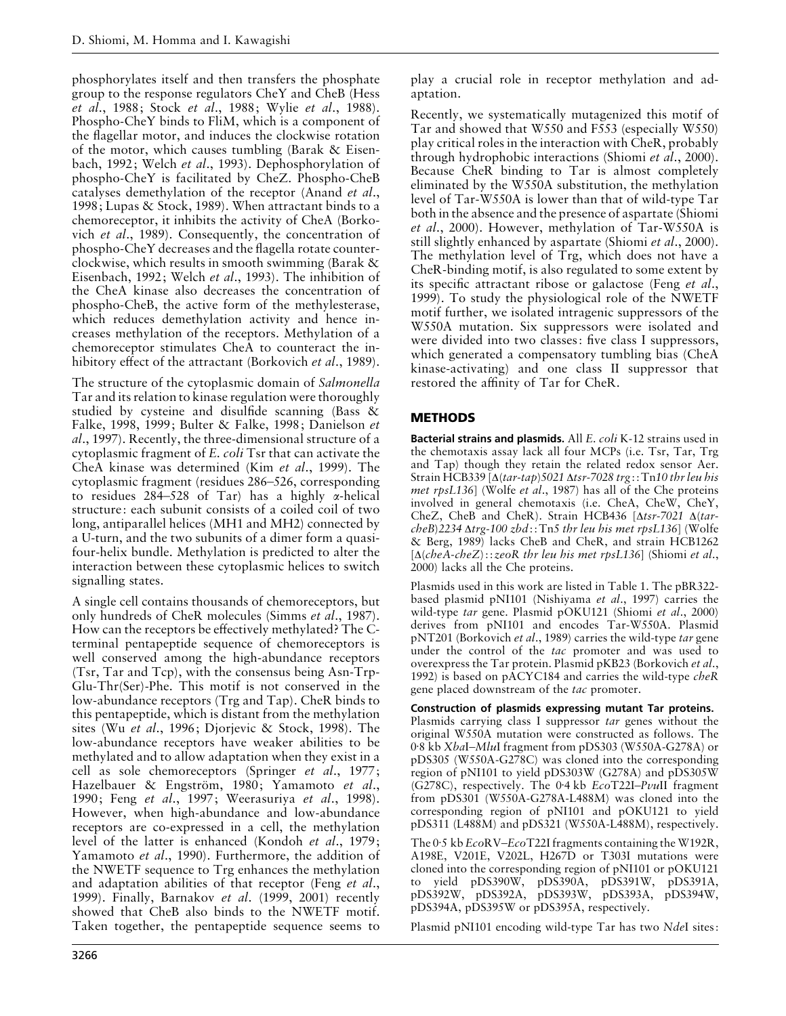phosphorylates itself and then transfers the phosphate group to the response regulators CheY and CheB (Hess *et al*., 1988; Stock *et al*., 1988; Wylie *et al*., 1988). Phospho-CheY binds to FliM, which is a component of the flagellar motor, and induces the clockwise rotation of the motor, which causes tumbling (Barak & Eisenbach, 1992; Welch *et al*., 1993). Dephosphorylation of phospho-CheY is facilitated by CheZ. Phospho-CheB catalyses demethylation of the receptor (Anand *et al*., 1998; Lupas & Stock, 1989). When attractant binds to a chemoreceptor, it inhibits the activity of CheA (Borkovich *et al*., 1989). Consequently, the concentration of phospho-CheY decreases and the flagella rotate counterclockwise, which results in smooth swimming (Barak & Eisenbach, 1992; Welch *et al*., 1993). The inhibition of the CheA kinase also decreases the concentration of phospho-CheB, the active form of the methylesterase, which reduces demethylation activity and hence increases methylation of the receptors. Methylation of a chemoreceptor stimulates CheA to counteract the inhibitory effect of the attractant (Borkovich *et al*., 1989).

The structure of the cytoplasmic domain of *Salmonella* Tar and its relation to kinase regulation were thoroughly studied by cysteine and disulfide scanning (Bass & Falke, 1998, 1999; Bulter & Falke, 1998; Danielson *et al*., 1997). Recently, the three-dimensional structure of a cytoplasmic fragment of *E*. *coli* Tsr that can activate the CheA kinase was determined (Kim *et al*., 1999). The cytoplasmic fragment (residues 286–526, corresponding to residues 284–528 of Tar) has a highly α-helical structure: each subunit consists of a coiled coil of two long, antiparallel helices (MH1 and MH2) connected by a U-turn, and the two subunits of a dimer form a quasifour-helix bundle. Methylation is predicted to alter the interaction between these cytoplasmic helices to switch signalling states.

A single cell contains thousands of chemoreceptors, but only hundreds of CheR molecules (Simms *et al*., 1987). How can the receptors be effectively methylated? The Cterminal pentapeptide sequence of chemoreceptors is well conserved among the high-abundance receptors (Tsr, Tar and Tcp), with the consensus being Asn-Trp-Glu-Thr(Ser)-Phe. This motif is not conserved in the low-abundance receptors (Trg and Tap). CheR binds to this pentapeptide, which is distant from the methylation sites (Wu *et al*., 1996; Djorjevic & Stock, 1998). The low-abundance receptors have weaker abilities to be methylated and to allow adaptation when they exist in a cell as sole chemoreceptors (Springer *et al*., 1977; Hazelbauer & Engström, 1980; Yamamoto et al., 1990; Feng *et al*., 1997; Weerasuriya *et al*., 1998). However, when high-abundance and low-abundance receptors are co-expressed in a cell, the methylation level of the latter is enhanced (Kondoh *et al*., 1979; Yamamoto *et al*., 1990). Furthermore, the addition of the NWETF sequence to Trg enhances the methylation and adaptation abilities of that receptor (Feng *et al*., 1999). Finally, Barnakov *et al*. (1999, 2001) recently showed that CheB also binds to the NWETF motif. Taken together, the pentapeptide sequence seems to play a crucial role in receptor methylation and adaptation.

Recently, we systematically mutagenized this motif of Tar and showed that W550 and F553 (especially W550) play critical roles in the interaction with CheR, probably through hydrophobic interactions (Shiomi *et al*., 2000). Because CheR binding to Tar is almost completely eliminated by the W550A substitution, the methylation level of Tar-W550A is lower than that of wild-type Tar both in the absence and the presence of aspartate (Shiomi *et al*., 2000). However, methylation of Tar-W550A is still slightly enhanced by aspartate (Shiomi *et al*., 2000). The methylation level of Trg, which does not have a CheR-binding motif, is also regulated to some extent by its specific attractant ribose or galactose (Feng *et al*., 1999). To study the physiological role of the NWETF motif further, we isolated intragenic suppressors of the W550A mutation. Six suppressors were isolated and were divided into two classes: five class I suppressors, which generated a compensatory tumbling bias (CheA kinase-activating) and one class II suppressor that restored the affinity of Tar for CheR.

# **METHODS**

**Bacterial strains and plasmids.** All *E*. *coli* K-12 strains used in the chemotaxis assay lack all four MCPs (i.e. Tsr, Tar, Trg and Tap) though they retain the related redox sensor Aer. Strain HCB339 [∆(*tar*-*tap*)*5021* ∆*tsr*-*7028 trg*::Tn*10 thr leu his met rpsL136*] (Wolfe *et al*., 1987) has all of the Che proteins involved in general chemotaxis (i.e. CheA, CheW, CheY, CheZ, CheB and CheR). Strain HCB436 [∆*tsr*-*7021* ∆(*tarcheB*)*2234* ∆*trg*-*100 zbd*::Tn*5 thr leu his met rpsL136*] (Wolfe & Berg, 1989) lacks CheB and CheR, and strain HCB1262 [∆(*cheA*-*cheZ*)::*zeoR thr leu his met rpsL136*] (Shiomi *et al*., 2000) lacks all the Che proteins.

Plasmids used in this work are listed in Table 1. The pBR322 based plasmid pNI101 (Nishiyama *et al*., 1997) carries the wild-type *tar* gene. Plasmid pOKU121 (Shiomi *et al*., 2000) derives from pNI101 and encodes Tar-W550A. Plasmid pNT201 (Borkovich *et al*., 1989) carries the wild-type *tar* gene under the control of the *tac* promoter and was used to overexpress the Tar protein. Plasmid pKB23 (Borkovich *et al*., 1992) is based on pACYC184 and carries the wild-type *cheR* gene placed downstream of the *tac* promoter.

## **Construction of plasmids expressing mutant Tar proteins.**

Plasmids carrying class I suppressor *tar* genes without the original W550A mutation were constructed as follows. The 0±8 kb *Xba*I–*Mlu*I fragment from pDS303 (W550A-G278A) or pDS305 (W550A-G278C) was cloned into the corresponding region of pNI101 to yield pDS303W (G278A) and  $p\hat{D}S305W$ (G278C), respectively. The 0±4 kb *Eco*T22I–*Pvu*II fragment from pDS301 (W550A-G278A-L488M) was cloned into the corresponding region of pNI101 and pOKU121 to yield pDS311 (L488M) and pDS321 (W550A-L488M), respectively.

The 0.5 kb *EcoRV–EcoT22I* fragments containing the W192R, A198E, V201E, V202L, H267D or T303I mutations were cloned into the corresponding region of pNI101 or pOKU121 to yield pDS390W, pDS390A, pDS391W, pDS391A, pDS392W, pDS392A, pDS393W, pDS393A, pDS394W, pDS394A, pDS395W or pDS395A, respectively.

Plasmid pNI101 encoding wild-type Tar has two *Nde*I sites: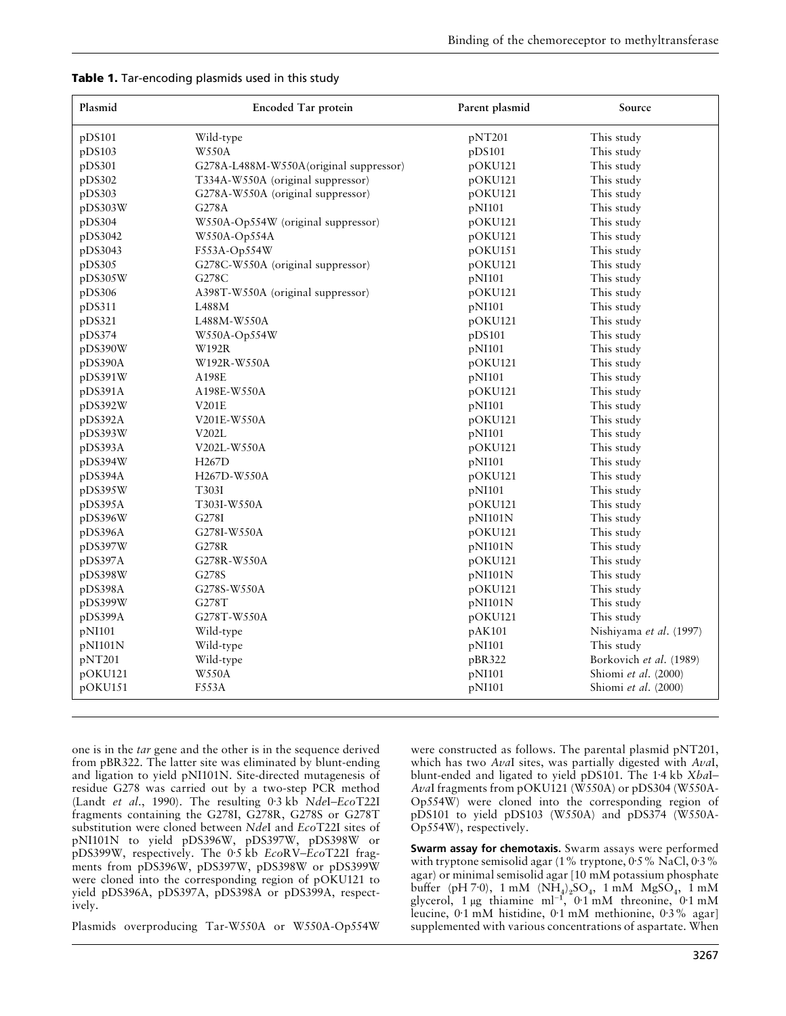| Plasmid | Encoded Tar protein                     | Parent plasmid | Source                  |  |
|---------|-----------------------------------------|----------------|-------------------------|--|
| pDS101  | Wild-type                               | pNT201         | This study              |  |
| pDS103  | <b>W550A</b>                            | pDS101         | This study              |  |
| pDS301  | G278A-L488M-W550A (original suppressor) | pOKU121        | This study              |  |
| pDS302  | T334A-W550A (original suppressor)       | pOKU121        | This study              |  |
| pDS303  | G278A-W550A (original suppressor)       | pOKU121        | This study              |  |
| pDS303W | G278A                                   | pNI101         | This study              |  |
| pDS304  | W550A-Op554W (original suppressor)      | pOKU121        | This study              |  |
| pDS3042 | W550A-Op554A                            | pOKU121        | This study              |  |
| pDS3043 | F553A-Op554W                            | pOKU151        | This study              |  |
| pDS305  | G278C-W550A (original suppressor)       | pOKU121        | This study              |  |
| pDS305W | G278C                                   | pNI101         | This study              |  |
| pDS306  | A398T-W550A (original suppressor)       | pOKU121        | This study              |  |
| pDS311  | L488M                                   | pNI101         | This study              |  |
| pDS321  | L488M-W550A                             | pOKU121        | This study              |  |
| pDS374  | W550A-Op554W                            | pDS101         | This study              |  |
| pDS390W | W192R                                   | pNI101         | This study              |  |
| pDS390A | W192R-W550A                             | pOKU121        | This study              |  |
| pDS391W | A198E                                   | pNI101         | This study              |  |
| pDS391A | A198E-W550A                             | pOKU121        | This study              |  |
| pDS392W | V201E                                   | pNI101         | This study              |  |
| pDS392A | V201E-W550A                             | pOKU121        | This study              |  |
| pDS393W | V202L                                   | pNI101         | This study              |  |
| pDS393A | V202L-W550A                             | pOKU121        | This study              |  |
| pDS394W | H <sub>267</sub> D                      | pNI101         | This study              |  |
| pDS394A | H267D-W550A                             | pOKU121        | This study              |  |
| pDS395W | T303I                                   | pNI101         | This study              |  |
| pDS395A | T303I-W550A                             | pOKU121        | This study              |  |
| pDS396W | G278I                                   | pNI101N        | This study              |  |
| pDS396A | G278I-W550A                             | pOKU121        | This study              |  |
| pDS397W | G278R                                   | pN1101N        | This study              |  |
| pDS397A | G278R-W550A                             | pOKU121        | This study              |  |
| pDS398W | G278S                                   | pNI101N        | This study              |  |
| pDS398A | G278S-W550A                             | pOKU121        | This study              |  |
| pDS399W | G278T                                   | pNI101N        | This study              |  |
| pDS399A | G278T-W550A                             | pOKU121        | This study              |  |
| pNI101  | Wild-type                               | pAK101         | Nishiyama et al. (1997) |  |
| pNI101N | Wild-type                               | pNI101         | This study              |  |
| pNT201  | Wild-type                               | pBR322         | Borkovich et al. (1989) |  |
| pOKU121 | <b>W550A</b>                            | pNI101         | Shiomi et al. (2000)    |  |
| pOKU151 | <b>F553A</b>                            | pNI101         | Shiomi et al. (2000)    |  |
|         |                                         |                |                         |  |

|  |  | Table 1. Tar-encoding plasmids used in this study |  |  |  |  |  |
|--|--|---------------------------------------------------|--|--|--|--|--|
|--|--|---------------------------------------------------|--|--|--|--|--|

one is in the *tar* gene and the other is in the sequence derived from pBR322. The latter site was eliminated by blunt-ending and ligation to yield pNI101N. Site-directed mutagenesis of residue G278 was carried out by a two-step PCR method (Landt *et al*., 1990). The resulting 0±3 kb *Nde*I–*Eco*T22I fragments containing the G278I, G278R, G278S or G278T substitution were cloned between *Nde*I and *Eco*T22I sites of pNI101N to yield pDS396W, pDS397W, pDS398W or pDS399W, respectively. The 0±5 kb *Eco*RV–*Eco*T22I fragments from pDS396W, pDS397W, pDS398W or pDS399W were cloned into the corresponding region of pOKU121 to yield pDS396A, pDS397A, pDS398A or pDS399A, respectively.

Plasmids overproducing Tar-W550A or W550A-Op554W

were constructed as follows. The parental plasmid pNT201, which has two *Ava*I sites, was partially digested with *Ava*I, blunt-ended and ligated to yield pDS101. The 1±4 kb *Xba*I– *Ava*I fragments from pOKU121 (W550A) or pDS304 (W550A-Op554W) were cloned into the corresponding region of pDS101 to yield pDS103 (W550A) and pDS374 (W550A-Op554W), respectively.

**Swarm assay for chemotaxis.** Swarm assays were performed with tryptone semisolid agar (1% tryptone,  $0.5\%$  NaCl,  $0.3\%$ agar) or minimal semisolid agar [10 mM potassium phosphate buffer (pH 7·0), 1 mM ( $NH_4$ )<sub>2</sub>SO<sub>4</sub>, 1 mM MgSO<sub>4</sub>, 1 mM<br>glycerol, 1 µg thiamine ml<sup>-1</sup>, 0·1 mM threonine, 0·1 mM leucine, 0±1 mM histidine, 0±1 mM methionine, 0±3% agar] supplemented with various concentrations of aspartate. When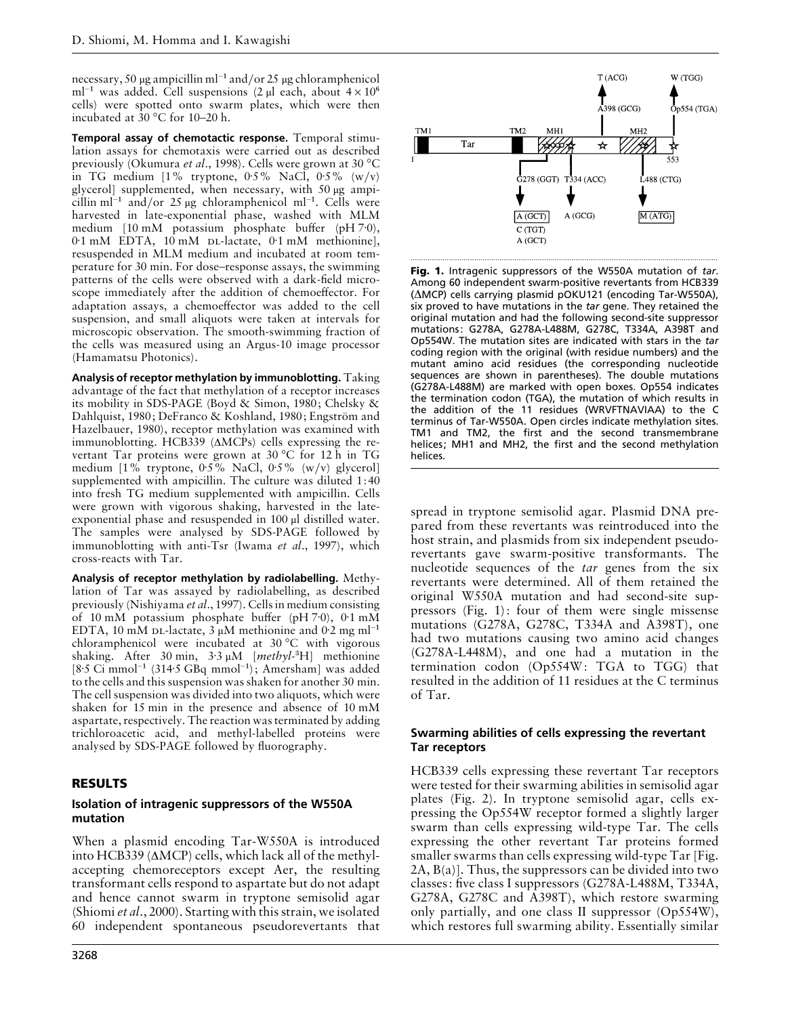necessary, 50 <sup>µ</sup>g ampicillin ml−" and}or 25 <sup>µ</sup>g chloramphenicol ml<sup>-1</sup> was added. Cell suspensions (2 µl each, about  $4 \times 10^6$ ) cells) were spotted onto swarm plates, which were then incubated at 30 °C for 10–20 h.

**Temporal assay of chemotactic response.** Temporal stimulation assays for chemotaxis were carried out as described previously (Okumura *et al*., 1998). Cells were grown at 30 °C in TG medium  $[1\%$  tryptone, 0.5% NaCl, 0.5% (w/v) glycerol] supplemented, when necessary, with 50 µg ampicillin ml<sup>-1</sup> and/or 25 µg chloramphenicol ml<sup>-1</sup>. Cells were harvested in late-exponential phase, washed with MLM medium [10 mM potassium phosphate buffer (pH 7<sup>-0</sup>), 0.1 mM EDTA, 10 mM DL-lactate, 0.1 mM methionine], resuspended in MLM medium and incubated at room temperature for 30 min. For dose–response assays, the swimming patterns of the cells were observed with a dark-field microscope immediately after the addition of chemoeffector. For adaptation assays, a chemoeffector was added to the cell suspension, and small aliquots were taken at intervals for microscopic observation. The smooth-swimming fraction of the cells was measured using an Argus-10 image processor (Hamamatsu Photonics).

**Analysis of receptor methylation by immunoblotting.** Taking advantage of the fact that methylation of a receptor increases its mobility in SDS-PAGE (Boyd & Simon, 1980; Chelsky & Dahlquist, 1980; DeFranco & Koshland, 1980; Engström and Hazelbauer, 1980), receptor methylation was examined with immunoblotting. HCB339 (∆MCPs) cells expressing the revertant Tar proteins were grown at 30 °C for 12 h in TG medium  $[1\%$  tryptone, 0.5% NaCl, 0.5% (w/v) glycerol supplemented with ampicillin. The culture was diluted 1:40 into fresh TG medium supplemented with ampicillin. Cells were grown with vigorous shaking, harvested in the lateexponential phase and resuspended in 100 µl distilled water. The samples were analysed by SDS-PAGE followed by immunoblotting with anti-Tsr (Iwama *et al*., 1997), which cross-reacts with Tar.

**Analysis of receptor methylation by radiolabelling.** Methylation of Tar was assayed by radiolabelling, as described previously (Nishiyama *et al*., 1997). Cells in medium consisting of 10 mM potassium phosphate buffer (pH 7·0), 0·1 mM EDTA, 10 mM DL-lactate, 3 µM methionine and 0.2 mg ml<sup>-1</sup> chloramphenicol were incubated at 30 °C with vigorous shaking. After 30 min, 3±<sup>3</sup> <sup>µ</sup>M [*methyl*-\$H] methionine [8±5 Ci mmol−" (314±5 GBq mmol−"); Amersham] was added to the cells and this suspension was shaken for another 30 min. The cell suspension was divided into two aliquots, which were shaken for 15 min in the presence and absence of 10 mM aspartate, respectively. The reaction was terminated by adding trichloroacetic acid, and methyl-labelled proteins were analysed by SDS-PAGE followed by fluorography.

## **RESULTS**

#### **Isolation of intragenic suppressors of the W550A mutation**

When a plasmid encoding Tar-W550A is introduced into HCB339 (∆MCP) cells, which lack all of the methylaccepting chemoreceptors except Aer, the resulting transformant cells respond to aspartate but do not adapt and hence cannot swarm in tryptone semisolid agar (Shiomi *et al*., 2000). Starting with this strain, we isolated 60 independent spontaneous pseudorevertants that



**Fig. 1.** Intragenic suppressors of the W550A mutation of *tar*. Among 60 independent swarm-positive revertants from HCB339 (∆MCP) cells carrying plasmid pOKU121 (encoding Tar-W550A), six proved to have mutations in the *tar* gene. They retained the original mutation and had the following second-site suppressor mutations: G278A, G278A-L488M, G278C, T334A, A398T and Op554W. The mutation sites are indicated with stars in the *tar* coding region with the original (with residue numbers) and the mutant amino acid residues (the corresponding nucleotide sequences are shown in parentheses). The double mutations (G278A-L488M) are marked with open boxes. Op554 indicates the termination codon (TGA), the mutation of which results in the addition of the 11 residues (WRVFTNAVIAA) to the C terminus of Tar-W550A. Open circles indicate methylation sites. TM1 and TM2, the first and the second transmembrane helices; MH1 and MH2, the first and the second methylation helices.

spread in tryptone semisolid agar. Plasmid DNA prepared from these revertants was reintroduced into the host strain, and plasmids from six independent pseudorevertants gave swarm-positive transformants. The nucleotide sequences of the *tar* genes from the six revertants were determined. All of them retained the original W550A mutation and had second-site suppressors (Fig. 1): four of them were single missense mutations (G278A, G278C, T334A and A398T), one had two mutations causing two amino acid changes (G278A-L448M), and one had a mutation in the termination codon (Op554W: TGA to TGG) that resulted in the addition of 11 residues at the C terminus of Tar.

#### **Swarming abilities of cells expressing the revertant Tar receptors**

HCB339 cells expressing these revertant Tar receptors were tested for their swarming abilities in semisolid agar plates (Fig. 2). In tryptone semisolid agar, cells expressing the Op554W receptor formed a slightly larger swarm than cells expressing wild-type Tar. The cells expressing the other revertant Tar proteins formed smaller swarms than cells expressing wild-type Tar [Fig. 2A, B(a)]. Thus, the suppressors can be divided into two classes: five class I suppressors (G278A-L488M, T334A, G278A, G278C and A398T), which restore swarming only partially, and one class II suppressor (Op554W), which restores full swarming ability. Essentially similar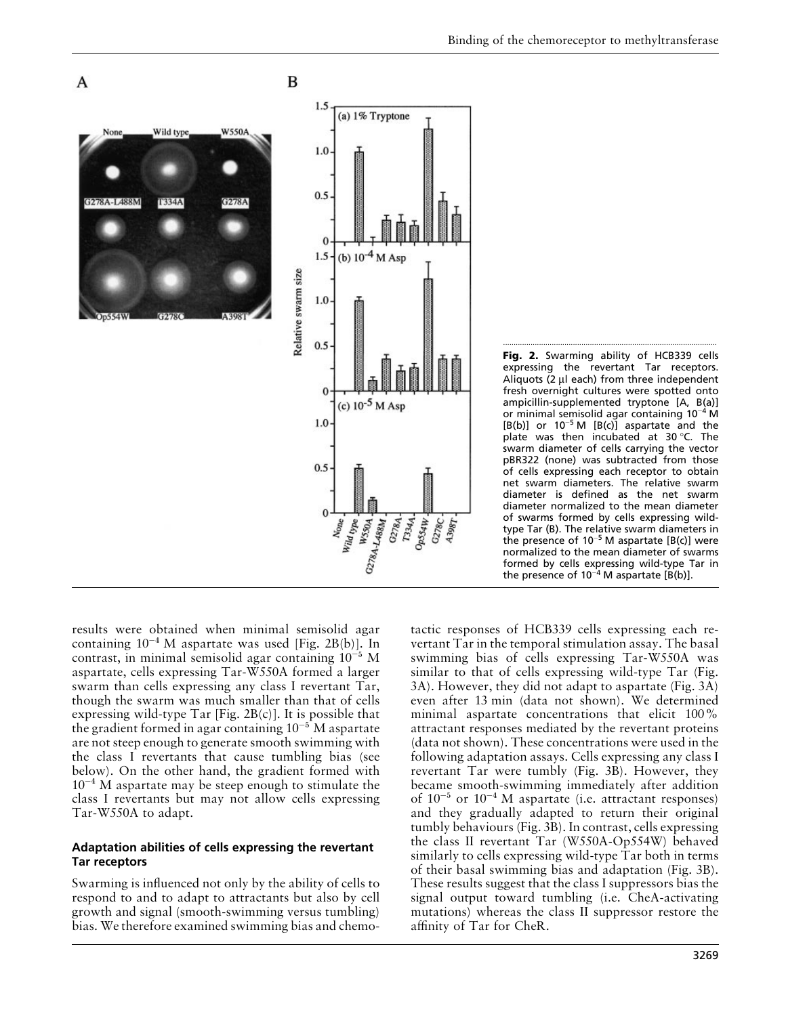



results were obtained when minimal semisolid agar containing  $10^{-4}$  M aspartate was used [Fig. 2B(b)]. In contrast, in minimal semisolid agar containing  $10^{-5}$  M aspartate, cells expressing Tar-W550A formed a larger swarm than cells expressing any class I revertant Tar, though the swarm was much smaller than that of cells expressing wild-type Tar [Fig.  $2B(c)$ ]. It is possible that the gradient formed in agar containing  $10^{-5}$  M aspartate are not steep enough to generate smooth swimming with the class I revertants that cause tumbling bias (see below). On the other hand, the gradient formed with  $10^{-4}$  M aspartate may be steep enough to stimulate the class I revertants but may not allow cells expressing Tar-W550A to adapt.

#### **Adaptation abilities of cells expressing the revertant Tar receptors**

Swarming is influenced not only by the ability of cells to respond to and to adapt to attractants but also by cell growth and signal (smooth-swimming versus tumbling) bias. We therefore examined swimming bias and chemotactic responses of HCB339 cells expressing each revertant Tar in the temporal stimulation assay. The basal swimming bias of cells expressing Tar-W550A was similar to that of cells expressing wild-type Tar (Fig. 3A). However, they did not adapt to aspartate (Fig. 3A) even after 13 min (data not shown). We determined minimal aspartate concentrations that elicit 100% attractant responses mediated by the revertant proteins (data not shown). These concentrations were used in the following adaptation assays. Cells expressing any class I revertant Tar were tumbly (Fig. 3B). However, they became smooth-swimming immediately after addition of  $10^{-5}$  or  $10^{-4}$  M aspartate (i.e. attractant responses) and they gradually adapted to return their original tumbly behaviours (Fig. 3B). In contrast, cells expressing the class II revertant Tar (W550A-Op554W) behaved similarly to cells expressing wild-type Tar both in terms of their basal swimming bias and adaptation (Fig. 3B). These results suggest that the class I suppressors bias the signal output toward tumbling (i.e. CheA-activating mutations) whereas the class II suppressor restore the affinity of Tar for CheR.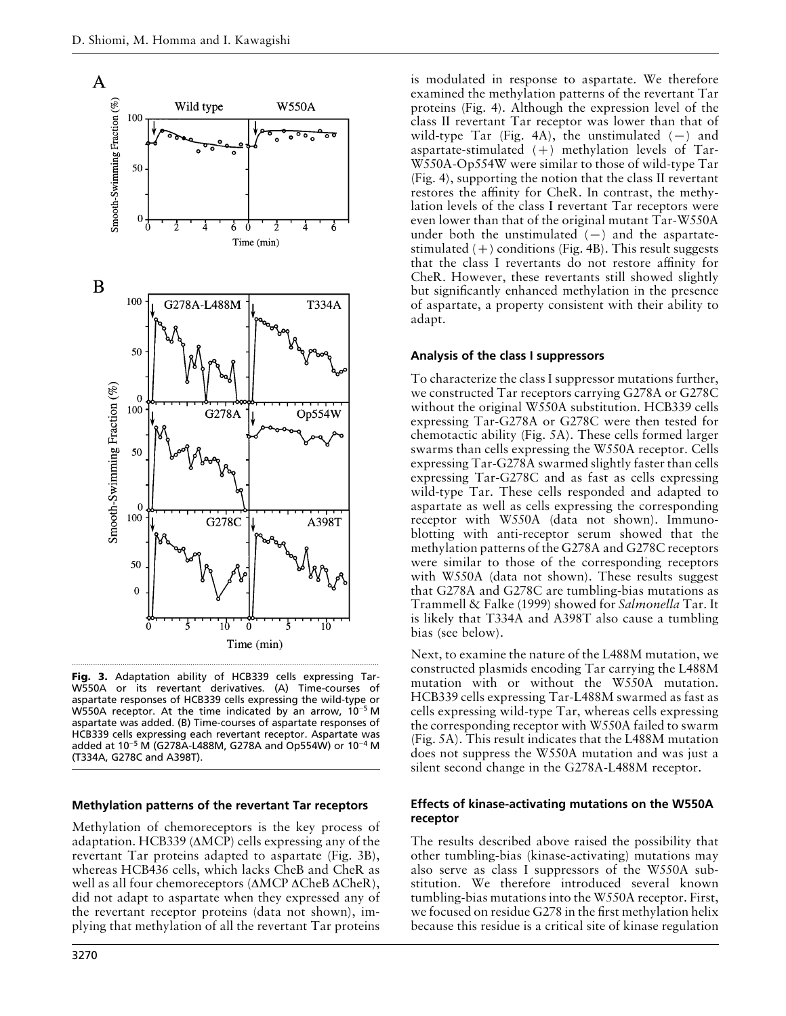

**Fig. 3.** Adaptation ability of HCB339 cells expressing Tar-W550A or its revertant derivatives. (A) Time-courses of aspartate responses of HCB339 cells expressing the wild-type or W550A receptor. At the time indicated by an arrow, 10−<sup>5</sup> M aspartate was added. (B) Time-courses of aspartate responses of HCB339 cells expressing each revertant receptor. Aspartate was added at 10−<sup>5</sup> M (G278A-L488M, G278A and Op554W) or 10−<sup>4</sup> M (T334A, G278C and A398T).

#### **Methylation patterns of the revertant Tar receptors**

Methylation of chemoreceptors is the key process of adaptation. HCB339 (∆MCP) cells expressing any of the revertant Tar proteins adapted to aspartate (Fig. 3B), whereas HCB436 cells, which lacks CheB and CheR as well as all four chemoreceptors (∆MCP ∆CheB ∆CheR), did not adapt to aspartate when they expressed any of the revertant receptor proteins (data not shown), implying that methylation of all the revertant Tar proteins

is modulated in response to aspartate. We therefore examined the methylation patterns of the revertant Tar proteins (Fig. 4). Although the expression level of the class II revertant Tar receptor was lower than that of wild-type Tar (Fig. 4A), the unstimulated  $(-)$  and aspartate-stimulated  $(+)$  methylation levels of Tar-W550A-Op554W were similar to those of wild-type Tar (Fig. 4), supporting the notion that the class II revertant restores the affinity for CheR. In contrast, the methylation levels of the class I revertant Tar receptors were even lower than that of the original mutant Tar-W550A under both the unstimulated  $(-)$  and the aspartatestimulated  $(+)$  conditions (Fig. 4B). This result suggests that the class I revertants do not restore affinity for CheR. However, these revertants still showed slightly but significantly enhanced methylation in the presence of aspartate, a property consistent with their ability to adapt.

#### **Analysis of the class I suppressors**

To characterize the class I suppressor mutations further, we constructed Tar receptors carrying G278A or G278C without the original W550A substitution. HCB339 cells expressing Tar-G278A or G278C were then tested for chemotactic ability (Fig. 5A). These cells formed larger swarms than cells expressing the W550A receptor. Cells expressing Tar-G278A swarmed slightly faster than cells expressing Tar-G278C and as fast as cells expressing wild-type Tar. These cells responded and adapted to aspartate as well as cells expressing the corresponding receptor with W550A (data not shown). Immunoblotting with anti-receptor serum showed that the methylation patterns of the G278A and G278C receptors were similar to those of the corresponding receptors with W550A (data not shown). These results suggest that G278A and G278C are tumbling-bias mutations as Trammell & Falke (1999) showed for *Salmonella* Tar. It is likely that T334A and A398T also cause a tumbling bias (see below).

Next, to examine the nature of the L488M mutation, we constructed plasmids encoding Tar carrying the L488M mutation with or without the W550A mutation. HCB339 cells expressing Tar-L488M swarmed as fast as cells expressing wild-type Tar, whereas cells expressing the corresponding receptor with W550A failed to swarm (Fig. 5A). This result indicates that the L488M mutation does not suppress the W550A mutation and was just a silent second change in the G278A-L488M receptor.

#### **Effects of kinase-activating mutations on the W550A receptor**

The results described above raised the possibility that other tumbling-bias (kinase-activating) mutations may also serve as class I suppressors of the W550A substitution. We therefore introduced several known tumbling-bias mutations into the W550A receptor. First, we focused on residue G278 in the first methylation helix because this residue is a critical site of kinase regulation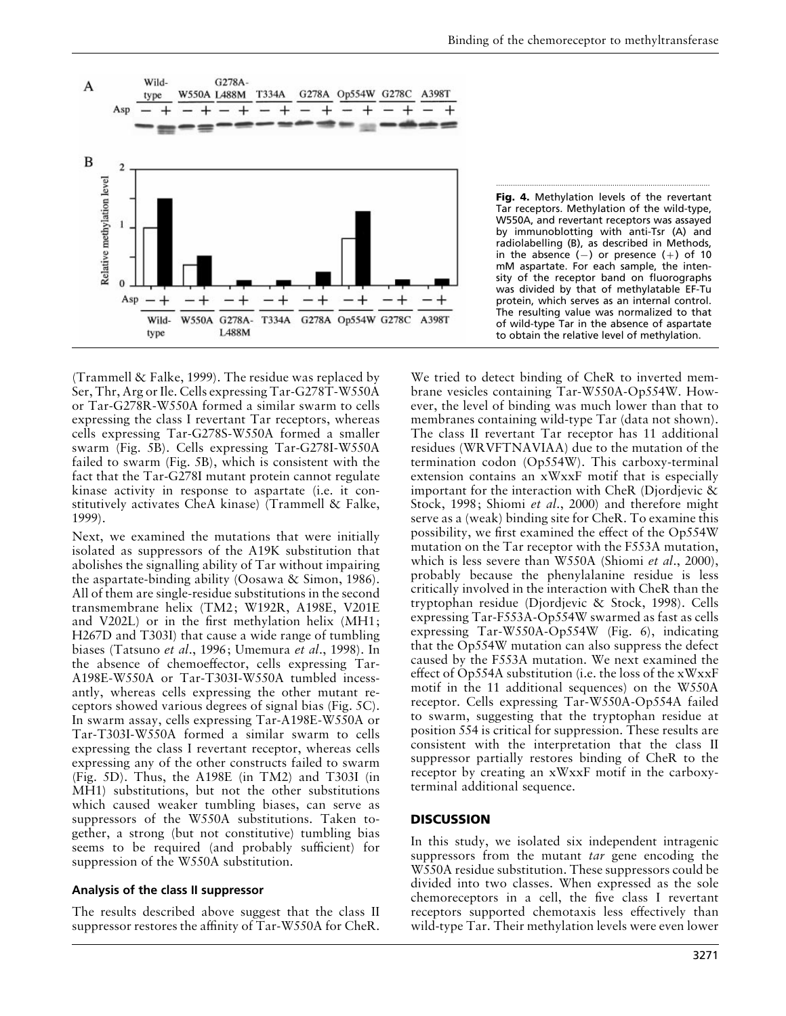

**Fig. 4.** Methylation levels of the revertant Tar receptors. Methylation of the wild-type, W550A, and revertant receptors was assayed by immunoblotting with anti-Tsr (A) and radiolabelling (B), as described in Methods, in the absence  $(-)$  or presence  $(+)$  of 10 mM aspartate. For each sample, the intensity of the receptor band on fluorographs was divided by that of methylatable EF-Tu protein, which serves as an internal control. The resulting value was normalized to that of wild-type Tar in the absence of aspartate to obtain the relative level of methylation.

.....................................................................................................

(Trammell & Falke, 1999). The residue was replaced by Ser, Thr, Arg or Ile. Cells expressing Tar-G278T-W550A or Tar-G278R-W550A formed a similar swarm to cells expressing the class I revertant Tar receptors, whereas cells expressing Tar-G278S-W550A formed a smaller swarm (Fig. 5B). Cells expressing Tar-G278I-W550A failed to swarm (Fig. 5B), which is consistent with the fact that the Tar-G278I mutant protein cannot regulate kinase activity in response to aspartate (i.e. it constitutively activates CheA kinase) (Trammell & Falke, 1999).

Next, we examined the mutations that were initially isolated as suppressors of the A19K substitution that abolishes the signalling ability of Tar without impairing the aspartate-binding ability (Oosawa & Simon, 1986). All of them are single-residue substitutions in the second transmembrane helix (TM2; W192R, A198E, V201E and V202L) or in the first methylation helix (MH1; H267D and T303I) that cause a wide range of tumbling biases (Tatsuno *et al*., 1996; Umemura *et al*., 1998). In the absence of chemoeffector, cells expressing Tar-A198E-W550A or Tar-T303I-W550A tumbled incessantly, whereas cells expressing the other mutant receptors showed various degrees of signal bias (Fig. 5C). In swarm assay, cells expressing Tar-A198E-W550A or Tar-T303I-W550A formed a similar swarm to cells expressing the class I revertant receptor, whereas cells expressing any of the other constructs failed to swarm (Fig. 5D). Thus, the A198E (in TM2) and T303I (in MH1) substitutions, but not the other substitutions which caused weaker tumbling biases, can serve as suppressors of the W550A substitutions. Taken together, a strong (but not constitutive) tumbling bias seems to be required (and probably sufficient) for suppression of the W550A substitution.

## **Analysis of the class II suppressor**

The results described above suggest that the class II suppressor restores the affinity of Tar-W550A for CheR.

We tried to detect binding of CheR to inverted membrane vesicles containing Tar-W550A-Op554W. However, the level of binding was much lower than that to membranes containing wild-type Tar (data not shown). The class II revertant Tar receptor has 11 additional residues (WRVFTNAVIAA) due to the mutation of the termination codon (Op554W). This carboxy-terminal extension contains an xWxxF motif that is especially important for the interaction with CheR (Djordjevic & Stock, 1998; Shiomi *et al*., 2000) and therefore might serve as a (weak) binding site for CheR. To examine this possibility, we first examined the effect of the Op554W mutation on the Tar receptor with the F553A mutation, which is less severe than W550A (Shiomi *et al*., 2000), probably because the phenylalanine residue is less critically involved in the interaction with CheR than the tryptophan residue (Djordjevic & Stock, 1998). Cells expressing Tar-F553A-Op554W swarmed as fast as cells expressing Tar-W550A-Op554W (Fig. 6), indicating that the Op554W mutation can also suppress the defect caused by the F553A mutation. We next examined the effect of Op554A substitution (i.e. the loss of the xWxxF motif in the 11 additional sequences) on the W550A receptor. Cells expressing Tar-W550A-Op554A failed to swarm, suggesting that the tryptophan residue at position 554 is critical for suppression. These results are consistent with the interpretation that the class II suppressor partially restores binding of CheR to the receptor by creating an xWxxF motif in the carboxyterminal additional sequence.

## **DISCUSSION**

In this study, we isolated six independent intragenic suppressors from the mutant *tar* gene encoding the W550A residue substitution. These suppressors could be divided into two classes. When expressed as the sole chemoreceptors in a cell, the five class I revertant receptors supported chemotaxis less effectively than wild-type Tar. Their methylation levels were even lower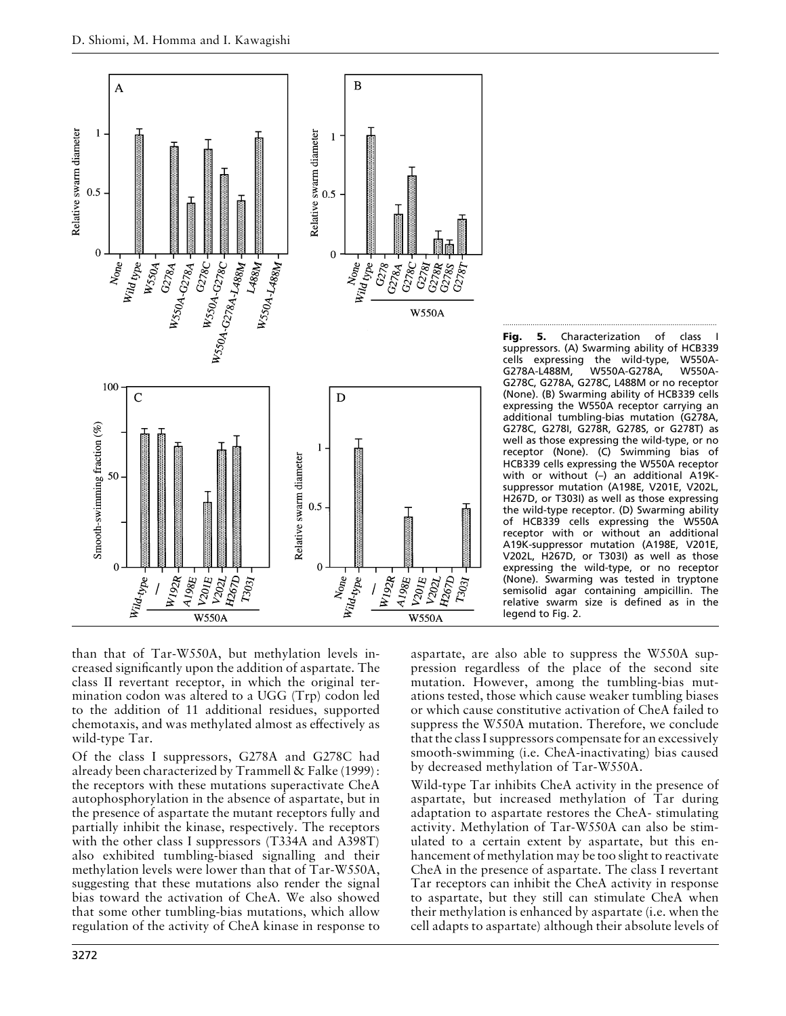

Fig. 5. Characterization of class suppressors. (A) Swarming ability of HCB339<br>cells expressing the wild-type. W550Acells expressing the wild-type, W550A-<br>G278A-L488M, W550A-G278A, W550A-W550A-G278A, G278C, G278A, G278C, L488M or no receptor (None). (B) Swarming ability of HCB339 cells expressing the W550A receptor carrying an additional tumbling-bias mutation (G278A, G278C, G278I, G278R, G278S, or G278T) as well as those expressing the wild-type, or no receptor (None). (C) Swimming bias of HCB339 cells expressing the W550A receptor with or without (–) an additional A19Ksuppressor mutation (A198E, V201E, V202L, H267D, or T303I) as well as those expressing the wild-type receptor. (D) Swarming ability of HCB339 cells expressing the W550A receptor with or without an additional A19K-suppressor mutation (A198E, V201E, V202L, H267D, or T303I) as well as those expressing the wild-type, or no receptor (None). Swarming was tested in tryptone semisolid agar containing ampicillin. The relative swarm size is defined as in the legend to Fig. 2.

than that of Tar-W550A, but methylation levels increased significantly upon the addition of aspartate. The class II revertant receptor, in which the original termination codon was altered to a UGG (Trp) codon led to the addition of 11 additional residues, supported chemotaxis, and was methylated almost as effectively as wild-type Tar.

Of the class I suppressors, G278A and G278C had already been characterized by Trammell & Falke (1999): the receptors with these mutations superactivate CheA autophosphorylation in the absence of aspartate, but in the presence of aspartate the mutant receptors fully and partially inhibit the kinase, respectively. The receptors with the other class I suppressors (T334A and A398T) also exhibited tumbling-biased signalling and their methylation levels were lower than that of Tar-W550A, suggesting that these mutations also render the signal bias toward the activation of CheA. We also showed that some other tumbling-bias mutations, which allow regulation of the activity of CheA kinase in response to

aspartate, are also able to suppress the W550A suppression regardless of the place of the second site mutation. However, among the tumbling-bias mutations tested, those which cause weaker tumbling biases or which cause constitutive activation of CheA failed to suppress the W550A mutation. Therefore, we conclude that the class I suppressors compensate for an excessively smooth-swimming (i.e. CheA-inactivating) bias caused by decreased methylation of Tar-W550A.

Wild-type Tar inhibits CheA activity in the presence of aspartate, but increased methylation of Tar during adaptation to aspartate restores the CheA- stimulating activity. Methylation of Tar-W550A can also be stimulated to a certain extent by aspartate, but this enhancement of methylation may be too slight to reactivate CheA in the presence of aspartate. The class I revertant Tar receptors can inhibit the CheA activity in response to aspartate, but they still can stimulate CheA when their methylation is enhanced by aspartate (i.e. when the cell adapts to aspartate) although their absolute levels of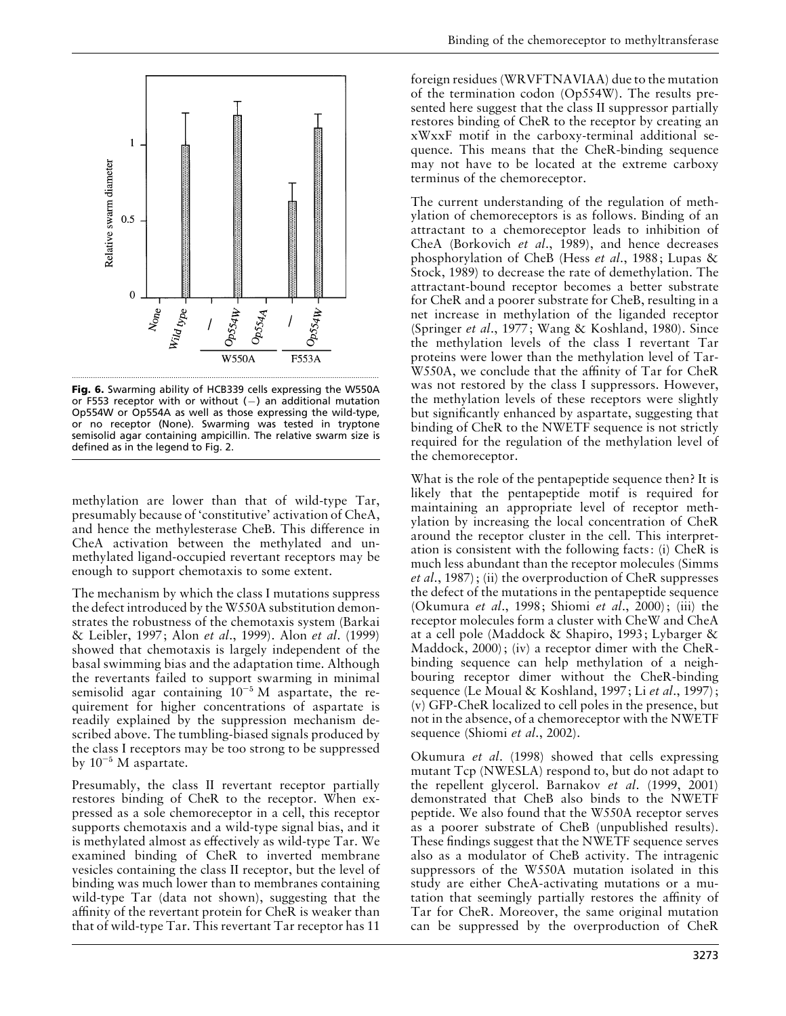

**Fig. 6.** Swarming ability of HCB339 cells expressing the W550A or F553 receptor with or without  $(-)$  an additional mutation Op554W or Op554A as well as those expressing the wild-type, or no receptor (None). Swarming was tested in tryptone semisolid agar containing ampicillin. The relative swarm size is defined as in the legend to Fig. 2.

methylation are lower than that of wild-type Tar, presumably because of 'constitutive' activation of CheA, and hence the methylesterase CheB. This difference in CheA activation between the methylated and unmethylated ligand-occupied revertant receptors may be enough to support chemotaxis to some extent.

The mechanism by which the class I mutations suppress the defect introduced by the W550A substitution demonstrates the robustness of the chemotaxis system (Barkai & Leibler, 1997; Alon *et al*., 1999). Alon *et al*. (1999) showed that chemotaxis is largely independent of the basal swimming bias and the adaptation time. Although the revertants failed to support swarming in minimal semisolid agar containing 10<sup>-5</sup> M aspartate, the requirement for higher concentrations of aspartate is readily explained by the suppression mechanism described above. The tumbling-biased signals produced by the class I receptors may be too strong to be suppressed by  $10^{-5}$  M aspartate.

Presumably, the class II revertant receptor partially restores binding of CheR to the receptor. When expressed as a sole chemoreceptor in a cell, this receptor supports chemotaxis and a wild-type signal bias, and it is methylated almost as effectively as wild-type Tar. We examined binding of CheR to inverted membrane vesicles containing the class II receptor, but the level of binding was much lower than to membranes containing wild-type Tar (data not shown), suggesting that the affinity of the revertant protein for CheR is weaker than that of wild-type Tar. This revertant Tar receptor has 11

foreign residues (WRVFTNAVIAA) due to the mutation of the termination codon (Op554W). The results presented here suggest that the class II suppressor partially restores binding of CheR to the receptor by creating an xWxxF motif in the carboxy-terminal additional sequence. This means that the CheR-binding sequence may not have to be located at the extreme carboxy terminus of the chemoreceptor.

The current understanding of the regulation of methylation of chemoreceptors is as follows. Binding of an attractant to a chemoreceptor leads to inhibition of CheA (Borkovich *et al*., 1989), and hence decreases phosphorylation of CheB (Hess *et al*., 1988; Lupas & Stock, 1989) to decrease the rate of demethylation. The attractant-bound receptor becomes a better substrate for CheR and a poorer substrate for CheB, resulting in a net increase in methylation of the liganded receptor (Springer *et al*., 1977; Wang & Koshland, 1980). Since the methylation levels of the class I revertant Tar proteins were lower than the methylation level of Tar-W550A, we conclude that the affinity of Tar for CheR was not restored by the class I suppressors. However, the methylation levels of these receptors were slightly but significantly enhanced by aspartate, suggesting that binding of CheR to the NWETF sequence is not strictly required for the regulation of the methylation level of the chemoreceptor.

What is the role of the pentapeptide sequence then? It is likely that the pentapeptide motif is required for maintaining an appropriate level of receptor methylation by increasing the local concentration of CheR around the receptor cluster in the cell. This interpretation is consistent with the following facts: (i) CheR is much less abundant than the receptor molecules (Simms *et al*., 1987); (ii) the overproduction of CheR suppresses the defect of the mutations in the pentapeptide sequence (Okumura *et al*., 1998; Shiomi *et al*., 2000); (iii) the receptor molecules form a cluster with CheW and CheA at a cell pole (Maddock & Shapiro, 1993; Lybarger & Maddock, 2000); (iv) a receptor dimer with the CheRbinding sequence can help methylation of a neighbouring receptor dimer without the CheR-binding sequence (Le Moual & Koshland, 1997; Li *et al*., 1997); (v) GFP-CheR localized to cell poles in the presence, but not in the absence, of a chemoreceptor with the NWETF sequence (Shiomi *et al*., 2002).

Okumura *et al*. (1998) showed that cells expressing mutant Tcp (NWESLA) respond to, but do not adapt to the repellent glycerol. Barnakov *et al*. (1999, 2001) demonstrated that CheB also binds to the NWETF peptide. We also found that the W550A receptor serves as a poorer substrate of CheB (unpublished results). These findings suggest that the NWETF sequence serves also as a modulator of CheB activity. The intragenic suppressors of the W550A mutation isolated in this study are either CheA-activating mutations or a mutation that seemingly partially restores the affinity of Tar for CheR. Moreover, the same original mutation can be suppressed by the overproduction of CheR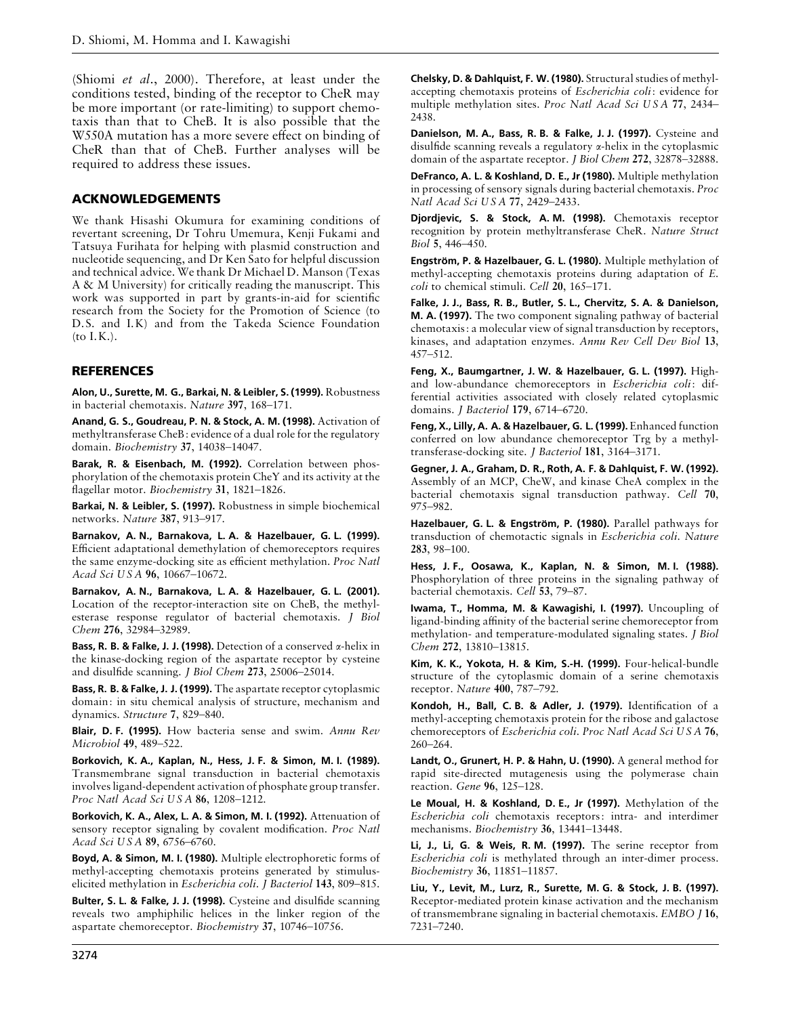(Shiomi *et al*., 2000). Therefore, at least under the conditions tested, binding of the receptor to CheR may be more important (or rate-limiting) to support chemotaxis than that to CheB. It is also possible that the W550A mutation has a more severe effect on binding of CheR than that of CheB. Further analyses will be required to address these issues.

### **ACKNOWLEDGEMENTS**

We thank Hisashi Okumura for examining conditions of revertant screening, Dr Tohru Umemura, Kenji Fukami and Tatsuya Furihata for helping with plasmid construction and nucleotide sequencing, and Dr Ken Sato for helpful discussion and technical advice. We thank Dr Michael D. Manson (Texas A & M University) for critically reading the manuscript. This work was supported in part by grants-in-aid for scientific research from the Society for the Promotion of Science (to D.S. and I.K) and from the Takeda Science Foundation (to I.K.).

## **REFERENCES**

**Alon, U., Surette, M. G., Barkai, N. & Leibler, S. (1999).** Robustness in bacterial chemotaxis. *Nature* **397**, 168–171.

**Anand, G. S., Goudreau, P. N. & Stock, A. M. (1998).** Activation of methyltransferase CheB: evidence of a dual role for the regulatory domain. *Biochemistry* **37**, 14038–14047.

**Barak, R. & Eisenbach, M. (1992).** Correlation between phosphorylation of the chemotaxis protein CheY and its activity at the flagellar motor. *Biochemistry* **31**, 1821–1826.

**Barkai, N. & Leibler, S. (1997).** Robustness in simple biochemical networks. *Nature* **387**, 913–917.

**Barnakov, A. N., Barnakova, L. A. & Hazelbauer, G. L. (1999).** Efficient adaptational demethylation of chemoreceptors requires the same enzyme-docking site as efficient methylation. *Proc Natl Acad Sci U S A* **96**, 10667–10672.

**Barnakov, A. N., Barnakova, L. A. & Hazelbauer, G. L. (2001).** Location of the receptor-interaction site on CheB, the methylesterase response regulator of bacterial chemotaxis. *J Biol Chem* **276**, 32984–32989.

**Bass, R. B. & Falke, J. J. (1998).** Detection of a conserved α-helix in the kinase-docking region of the aspartate receptor by cysteine and disulfide scanning. *J Biol Chem* **273**, 25006–25014.

**Bass, R. B. & Falke, J. J. (1999).** The aspartate receptor cytoplasmic domain: in situ chemical analysis of structure, mechanism and dynamics. *Structure* **7**, 829–840.

**Blair, D. F. (1995).** How bacteria sense and swim. *Annu Rev Microbiol* **49**, 489–522.

**Borkovich, K. A., Kaplan, N., Hess, J. F. & Simon, M. I. (1989).** Transmembrane signal transduction in bacterial chemotaxis involves ligand-dependent activation of phosphate group transfer. *Proc Natl Acad Sci U S A* **86**, 1208–1212.

**Borkovich, K. A., Alex, L. A. & Simon, M. I. (1992).** Attenuation of sensory receptor signaling by covalent modification. *Proc Natl Acad Sci U S A* **89**, 6756–6760.

**Boyd, A. & Simon, M. I. (1980).** Multiple electrophoretic forms of methyl-accepting chemotaxis proteins generated by stimuluselicited methylation in *Escherichia coli*. *J Bacteriol* **143**, 809–815.

**Bulter, S. L. & Falke, J. J. (1998).** Cysteine and disulfide scanning reveals two amphiphilic helices in the linker region of the aspartate chemoreceptor. *Biochemistry* **37**, 10746–10756.

**Chelsky, D. & Dahlquist, F. W. (1980).** Structural studies of methylaccepting chemotaxis proteins of *Escherichia coli*: evidence for multiple methylation sites. *Proc Natl Acad Sci U S A* **77**, 2434– 2438.

**Danielson, M. A., Bass, R. B. & Falke, J. J. (1997).** Cysteine and disulfide scanning reveals a regulatory α-helix in the cytoplasmic domain of the aspartate receptor. *J Biol Chem* **272**, 32878–32888.

**DeFranco, A. L. & Koshland, D. E., Jr (1980).** Multiple methylation in processing of sensory signals during bacterial chemotaxis. *Proc Natl Acad Sci U S A* **77**, 2429–2433.

**Djordjevic, S. & Stock, A. M. (1998).** Chemotaxis receptor recognition by protein methyltransferase CheR. *Nature Struct Biol* **5**, 446–450.

**Engstro\$m, P. & Hazelbauer, G. L. (1980).** Multiple methylation of methyl-accepting chemotaxis proteins during adaptation of *E*. *coli* to chemical stimuli. *Cell* **20**, 165–171.

**Falke, J. J., Bass, R. B., Butler, S. L., Chervitz, S. A. & Danielson, M. A. (1997).** The two component signaling pathway of bacterial chemotaxis: a molecular view of signal transduction by receptors, kinases, and adaptation enzymes. *Annu Rev Cell Dev Biol* **13**, 457–512.

**Feng, X., Baumgartner, J. W. & Hazelbauer, G. L. (1997).** Highand low-abundance chemoreceptors in *Escherichia coli*: differential activities associated with closely related cytoplasmic domains. *J Bacteriol* **179**, 6714–6720.

**Feng, X., Lilly, A. A. & Hazelbauer, G. L. (1999).** Enhanced function conferred on low abundance chemoreceptor Trg by a methyltransferase-docking site. *J Bacteriol* **181**, 3164–3171.

**Gegner, J. A., Graham, D. R., Roth, A. F. & Dahlquist, F. W. (1992).** Assembly of an MCP, CheW, and kinase CheA complex in the bacterial chemotaxis signal transduction pathway. *Cell* **70**, 975–982.

**Hazelbauer, G. L. & Engstro\$m, P. (1980).** Parallel pathways for transduction of chemotactic signals in *Escherichia coli*. *Nature* **283**, 98–100.

**Hess, J. F., Oosawa, K., Kaplan, N. & Simon, M. I. (1988).** Phosphorylation of three proteins in the signaling pathway of bacterial chemotaxis. *Cell* **53**, 79–87.

**Iwama, T., Homma, M. & Kawagishi, I. (1997).** Uncoupling of ligand-binding affinity of the bacterial serine chemoreceptor from methylation- and temperature-modulated signaling states. *J Biol Chem* **272**, 13810–13815.

**Kim, K. K., Yokota, H. & Kim, S.-H. (1999).** Four-helical-bundle structure of the cytoplasmic domain of a serine chemotaxis receptor. *Nature* **400**, 787–792.

**Kondoh, H., Ball, C. B. & Adler, J. (1979).** Identification of a methyl-accepting chemotaxis protein for the ribose and galactose chemoreceptors of *Escherichia coli*. *Proc Natl Acad Sci U S A* **76**, 260–264.

**Landt, O., Grunert, H. P. & Hahn, U. (1990).** A general method for rapid site-directed mutagenesis using the polymerase chain reaction. *Gene* **96**, 125–128.

**Le Moual, H. & Koshland, D. E., Jr (1997).** Methylation of the *Escherichia coli* chemotaxis receptors: intra- and interdimer mechanisms. *Biochemistry* **36**, 13441–13448.

**Li, J., Li, G. & Weis, R. M. (1997).** The serine receptor from *Escherichia coli* is methylated through an inter-dimer process. *Biochemistry* **36**, 11851–11857.

**Liu, Y., Levit, M., Lurz, R., Surette, M. G. & Stock, J. B. (1997).** Receptor-mediated protein kinase activation and the mechanism of transmembrane signaling in bacterial chemotaxis. *EMBO J* **16**, 7231–7240.